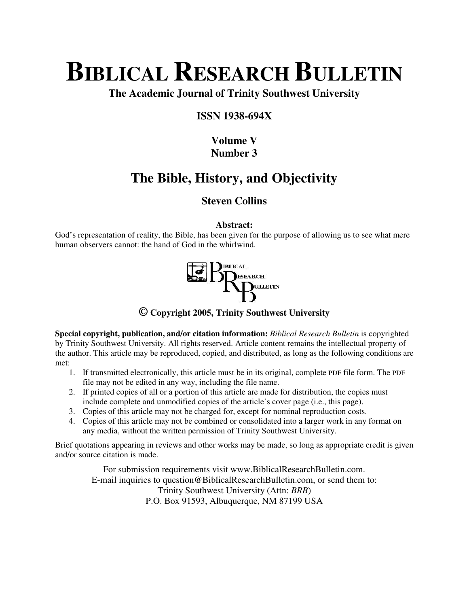# **BIBLICAL RESEARCH BULLETIN**

**The Academic Journal of Trinity Southwest University** 

#### **ISSN 1938-694X**

## **Volume V Number 3**

# **The Bible, History, and Objectivity**

### **Steven Collins**

**Abstract:** 

God's representation of reality, the Bible, has been given for the purpose of allowing us to see what mere human observers cannot: the hand of God in the whirlwind.



**© Copyright 2005, Trinity Southwest University** 

**Special copyright, publication, and/or citation information:** *Biblical Research Bulletin* is copyrighted by Trinity Southwest University. All rights reserved. Article content remains the intellectual property of the author. This article may be reproduced, copied, and distributed, as long as the following conditions are met:

- 1. If transmitted electronically, this article must be in its original, complete PDF file form. The PDF file may not be edited in any way, including the file name.
- 2. If printed copies of all or a portion of this article are made for distribution, the copies must include complete and unmodified copies of the article's cover page (i.e., this page).
- 3. Copies of this article may not be charged for, except for nominal reproduction costs.
- 4. Copies of this article may not be combined or consolidated into a larger work in any format on any media, without the written permission of Trinity Southwest University.

Brief quotations appearing in reviews and other works may be made, so long as appropriate credit is given and/or source citation is made.

For submission requirements visit www.BiblicalResearchBulletin.com. E-mail inquiries to question@BiblicalResearchBulletin.com, or send them to: Trinity Southwest University (Attn: *BRB*) P.O. Box 91593, Albuquerque, NM 87199 USA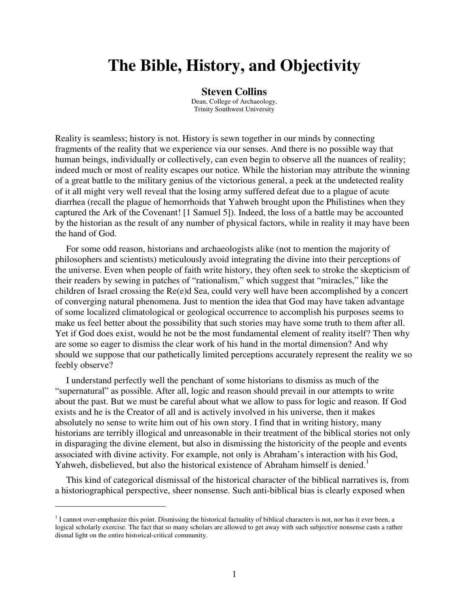# **The Bible, History, and Objectivity**

#### **Steven Collins**

Dean, College of Archaeology, Trinity Southwest University

Reality is seamless; history is not. History is sewn together in our minds by connecting fragments of the reality that we experience via our senses. And there is no possible way that human beings, individually or collectively, can even begin to observe all the nuances of reality; indeed much or most of reality escapes our notice. While the historian may attribute the winning of a great battle to the military genius of the victorious general, a peek at the undetected reality of it all might very well reveal that the losing army suffered defeat due to a plague of acute diarrhea (recall the plague of hemorrhoids that Yahweh brought upon the Philistines when they captured the Ark of the Covenant! [1 Samuel 5]). Indeed, the loss of a battle may be accounted by the historian as the result of any number of physical factors, while in reality it may have been the hand of God.

For some odd reason, historians and archaeologists alike (not to mention the majority of philosophers and scientists) meticulously avoid integrating the divine into their perceptions of the universe. Even when people of faith write history, they often seek to stroke the skepticism of their readers by sewing in patches of "rationalism," which suggest that "miracles," like the children of Israel crossing the Re(e)d Sea, could very well have been accomplished by a concert of converging natural phenomena. Just to mention the idea that God may have taken advantage of some localized climatological or geological occurrence to accomplish his purposes seems to make us feel better about the possibility that such stories may have some truth to them after all. Yet if God does exist, would he not be the most fundamental element of reality itself? Then why are some so eager to dismiss the clear work of his hand in the mortal dimension? And why should we suppose that our pathetically limited perceptions accurately represent the reality we so feebly observe?

I understand perfectly well the penchant of some historians to dismiss as much of the "supernatural" as possible. After all, logic and reason should prevail in our attempts to write about the past. But we must be careful about what we allow to pass for logic and reason. If God exists and he is the Creator of all and is actively involved in his universe, then it makes absolutely no sense to write him out of his own story. I find that in writing history, many historians are terribly illogical and unreasonable in their treatment of the biblical stories not only in disparaging the divine element, but also in dismissing the historicity of the people and events associated with divine activity. For example, not only is Abraham's interaction with his God, Yahweh, disbelieved, but also the historical existence of Abraham himself is denied.<sup>1</sup>

This kind of categorical dismissal of the historical character of the biblical narratives is, from a historiographical perspective, sheer nonsense. Such anti-biblical bias is clearly exposed when

 $\overline{a}$ 

 $1$  I cannot over-emphasize this point. Dismissing the historical factuality of biblical characters is not, nor has it ever been, a logical scholarly exercise. The fact that so many scholars are allowed to get away with such subjective nonsense casts a rather dismal light on the entire historical-critical community.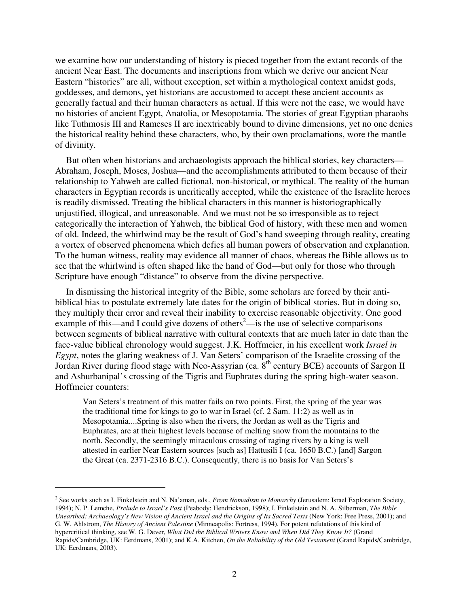we examine how our understanding of history is pieced together from the extant records of the ancient Near East. The documents and inscriptions from which we derive our ancient Near Eastern "histories" are all, without exception, set within a mythological context amidst gods, goddesses, and demons, yet historians are accustomed to accept these ancient accounts as generally factual and their human characters as actual. If this were not the case, we would have no histories of ancient Egypt, Anatolia, or Mesopotamia. The stories of great Egyptian pharaohs like Tuthmosis III and Rameses II are inextricably bound to divine dimensions, yet no one denies the historical reality behind these characters, who, by their own proclamations, wore the mantle of divinity.

But often when historians and archaeologists approach the biblical stories, key characters— Abraham, Joseph, Moses, Joshua—and the accomplishments attributed to them because of their relationship to Yahweh are called fictional, non-historical, or mythical. The reality of the human characters in Egyptian records is uncritically accepted, while the existence of the Israelite heroes is readily dismissed. Treating the biblical characters in this manner is historiographically unjustified, illogical, and unreasonable. And we must not be so irresponsible as to reject categorically the interaction of Yahweh, the biblical God of history, with these men and women of old. Indeed, the whirlwind may be the result of God's hand sweeping through reality, creating a vortex of observed phenomena which defies all human powers of observation and explanation. To the human witness, reality may evidence all manner of chaos, whereas the Bible allows us to see that the whirlwind is often shaped like the hand of God—but only for those who through Scripture have enough "distance" to observe from the divine perspective.

In dismissing the historical integrity of the Bible, some scholars are forced by their antibiblical bias to postulate extremely late dates for the origin of biblical stories. But in doing so, they multiply their error and reveal their inability to exercise reasonable objectivity. One good example of this—and I could give dozens of others<sup>2</sup>—is the use of selective comparisons between segments of biblical narrative with cultural contexts that are much later in date than the face-value biblical chronology would suggest. J.K. Hoffmeier, in his excellent work *Israel in Egypt*, notes the glaring weakness of J. Van Seters' comparison of the Israelite crossing of the Jordan River during flood stage with Neo-Assyrian (ca. 8<sup>th</sup> century BCE) accounts of Sargon II and Ashurbanipal's crossing of the Tigris and Euphrates during the spring high-water season. Hoffmeier counters:

Van Seters's treatment of this matter fails on two points. First, the spring of the year was the traditional time for kings to go to war in Israel (cf. 2 Sam. 11:2) as well as in Mesopotamia....Spring is also when the rivers, the Jordan as well as the Tigris and Euphrates, are at their highest levels because of melting snow from the mountains to the north. Secondly, the seemingly miraculous crossing of raging rivers by a king is well attested in earlier Near Eastern sources [such as] Hattusili I (ca. 1650 B.C.) [and] Sargon the Great (ca. 2371-2316 B.C.). Consequently, there is no basis for Van Seters's

 $\overline{a}$ 

<sup>2</sup> See works such as I. Finkelstein and N. Na'aman, eds., *From Nomadism to Monarchy* (Jerusalem: Israel Exploration Society, 1994); N. P. Lemche, *Prelude to Israel's Past* (Peabody: Hendrickson, 1998); I. Finkelstein and N. A. Silberman, *The Bible Unearthed: Archaeology's New Vision of Ancient Israel and the Origins of Its Sacred Texts* (New York: Free Press, 2001); and G. W. Ahlstrom, *The History of Ancient Palestine* (Minneapolis: Fortress, 1994). For potent refutations of this kind of hypercritical thinking, see W. G. Dever, *What Did the Biblical Writers Know and When Did They Know It?* (Grand Rapids/Cambridge, UK: Eerdmans, 2001); and K.A. Kitchen, *On the Reliability of the Old Testament* (Grand Rapids/Cambridge, UK: Eerdmans, 2003).